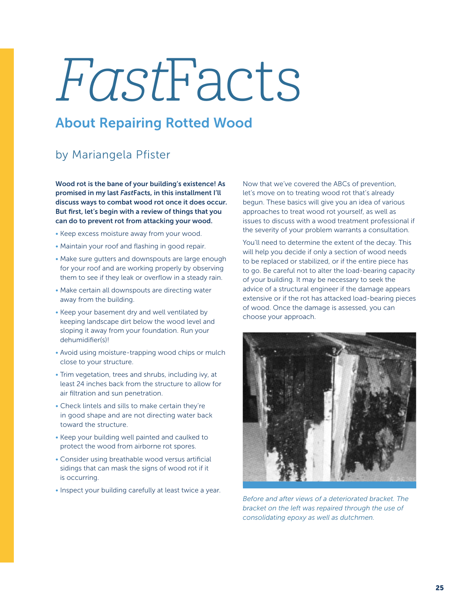## FastFacts

## About Repairing Rotted Wood

## by Mariangela Pfister

Wood rot is the bane of your building's existence! As promised in my last *Fast*Facts, in this installment I'll discuss ways to combat wood rot once it does occur. But first, let's begin with a review of things that you can do to prevent rot from attacking your wood.

- Keep excess moisture away from your wood.
- Maintain your roof and flashing in good repair.
- Make sure gutters and downspouts are large enough for your roof and are working properly by observing them to see if they leak or overflow in a steady rain.
- Make certain all downspouts are directing water away from the building.
- Keep your basement dry and well ventilated by keeping landscape dirt below the wood level and sloping it away from your foundation. Run your dehumidifier(s)!
- Avoid using moisture-trapping wood chips or mulch close to your structure.
- Trim vegetation, trees and shrubs, including ivy, at least 24 inches back from the structure to allow for air filtration and sun penetration.
- Check lintels and sills to make certain they're in good shape and are not directing water back toward the structure.
- Keep your building well painted and caulked to protect the wood from airborne rot spores.
- Consider using breathable wood versus artificial sidings that can mask the signs of wood rot if it is occurring.
- Inspect your building carefully at least twice a year.

Now that we've covered the ABCs of prevention, let's move on to treating wood rot that's already begun. These basics will give you an idea of various approaches to treat wood rot yourself, as well as issues to discuss with a wood treatment professional if the severity of your problem warrants a consultation.

You'll need to determine the extent of the decay. This will help you decide if only a section of wood needs to be replaced or stabilized, or if the entire piece has to go. Be careful not to alter the load-bearing capacity of your building. It may be necessary to seek the advice of a structural engineer if the damage appears extensive or if the rot has attacked load-bearing pieces of wood. Once the damage is assessed, you can choose your approach.



*Before and after views of a deteriorated bracket. The bracket on the left was repaired through the use of consolidating epoxy as well as dutchmen.*